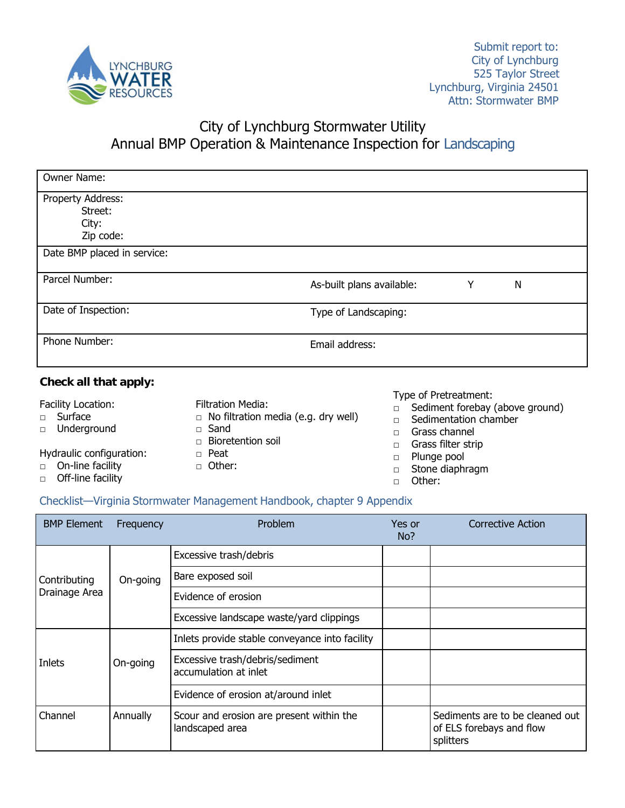

# City of Lynchburg Stormwater Utility

## Annual BMP Operation & Maintenance Inspection for Landscaping

| Owner Name:                                        |                           |   |   |  |
|----------------------------------------------------|---------------------------|---|---|--|
| Property Address:<br>Street:<br>City:<br>Zip code: |                           |   |   |  |
| Date BMP placed in service:                        |                           |   |   |  |
| Parcel Number:                                     | As-built plans available: | Y | N |  |
| Date of Inspection:                                | Type of Landscaping:      |   |   |  |
| Phone Number:                                      | Email address:            |   |   |  |
| Check all that apply:                              |                           |   |   |  |

Facility Location:

- □ Surface
- □ Underground

#### Hydraulic configuration:

- □ On-line facility
- □ Off-line facility
- Filtration Media: □ No filtration media (e.g. dry well)
- □ Sand
- □ Bioretention soil
- □ Peat
- □ Other:

#### Type of Pretreatment:

- □ Sediment forebay (above ground)
- □ Sedimentation chamber
- □ Grass channel
- □ Grass filter strip
- □ Plunge pool
- □ Stone diaphragm
- □ Other:

#### Checklist—Virginia Stormwater Management Handbook, chapter 9 Appendix

| <b>BMP Element</b>            | Frequency | Problem                                                     | Yes or<br>No? | Corrective Action                                                        |
|-------------------------------|-----------|-------------------------------------------------------------|---------------|--------------------------------------------------------------------------|
| Contributing<br>Drainage Area | On-going  | Excessive trash/debris                                      |               |                                                                          |
|                               |           | Bare exposed soil                                           |               |                                                                          |
|                               |           | Evidence of erosion                                         |               |                                                                          |
|                               |           | Excessive landscape waste/yard clippings                    |               |                                                                          |
| Inlets                        | On-going  | Inlets provide stable conveyance into facility              |               |                                                                          |
|                               |           | Excessive trash/debris/sediment<br>accumulation at inlet    |               |                                                                          |
|                               |           | Evidence of erosion at/around inlet                         |               |                                                                          |
| Channel                       | Annually  | Scour and erosion are present within the<br>landscaped area |               | Sediments are to be cleaned out<br>of ELS forebays and flow<br>splitters |